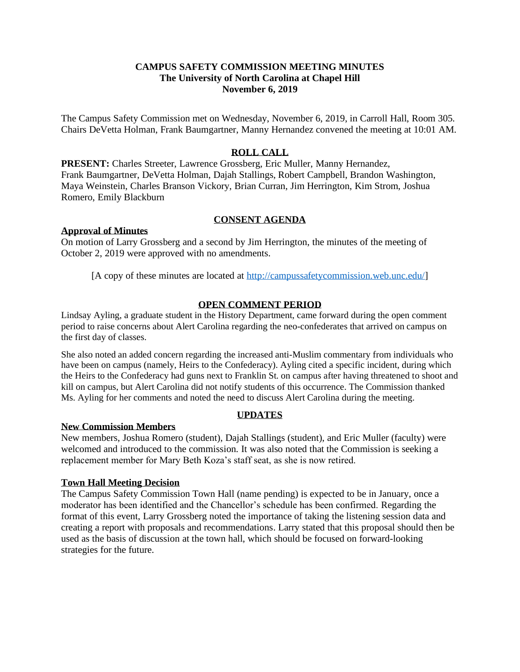# **CAMPUS SAFETY COMMISSION MEETING MINUTES The University of North Carolina at Chapel Hill November 6, 2019**

The Campus Safety Commission met on Wednesday, November 6, 2019, in Carroll Hall, Room 305. Chairs DeVetta Holman, Frank Baumgartner, Manny Hernandez convened the meeting at 10:01 AM.

# **ROLL CALL**

**PRESENT:** Charles Streeter, Lawrence Grossberg, Eric Muller, Manny Hernandez, Frank Baumgartner, DeVetta Holman, Dajah Stallings, Robert Campbell, Brandon Washington, Maya Weinstein, Charles Branson Vickory, Brian Curran, Jim Herrington, Kim Strom, Joshua Romero, Emily Blackburn

# **CONSENT AGENDA**

#### **Approval of Minutes**

On motion of Larry Grossberg and a second by Jim Herrington, the minutes of the meeting of October 2, 2019 were approved with no amendments.

[A copy of these minutes are located at [http://campussafetycommission.web.unc.edu/\]](http://campussafetycommission.web.unc.edu/)

#### **OPEN COMMENT PERIOD**

Lindsay Ayling, a graduate student in the History Department, came forward during the open comment period to raise concerns about Alert Carolina regarding the neo-confederates that arrived on campus on the first day of classes.

She also noted an added concern regarding the increased anti-Muslim commentary from individuals who have been on campus (namely, Heirs to the Confederacy). Ayling cited a specific incident, during which the Heirs to the Confederacy had guns next to Franklin St. on campus after having threatened to shoot and kill on campus, but Alert Carolina did not notify students of this occurrence. The Commission thanked Ms. Ayling for her comments and noted the need to discuss Alert Carolina during the meeting.

### **UPDATES**

# **New Commission Members**

New members, Joshua Romero (student), Dajah Stallings (student), and Eric Muller (faculty) were welcomed and introduced to the commission. It was also noted that the Commission is seeking a replacement member for Mary Beth Koza's staff seat, as she is now retired.

#### **Town Hall Meeting Decision**

The Campus Safety Commission Town Hall (name pending) is expected to be in January, once a moderator has been identified and the Chancellor's schedule has been confirmed. Regarding the format of this event, Larry Grossberg noted the importance of taking the listening session data and creating a report with proposals and recommendations. Larry stated that this proposal should then be used as the basis of discussion at the town hall, which should be focused on forward-looking strategies for the future.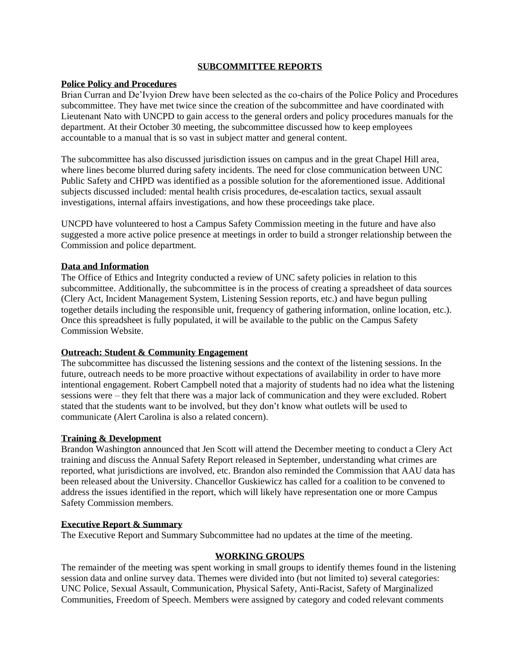#### **SUBCOMMITTEE REPORTS**

### **Police Policy and Procedures**

Brian Curran and De'Ivyion Drew have been selected as the co-chairs of the Police Policy and Procedures subcommittee. They have met twice since the creation of the subcommittee and have coordinated with Lieutenant Nato with UNCPD to gain access to the general orders and policy procedures manuals for the department. At their October 30 meeting, the subcommittee discussed how to keep employees accountable to a manual that is so vast in subject matter and general content.

The subcommittee has also discussed jurisdiction issues on campus and in the great Chapel Hill area, where lines become blurred during safety incidents. The need for close communication between UNC Public Safety and CHPD was identified as a possible solution for the aforementioned issue. Additional subjects discussed included: mental health crisis procedures, de-escalation tactics, sexual assault investigations, internal affairs investigations, and how these proceedings take place.

UNCPD have volunteered to host a Campus Safety Commission meeting in the future and have also suggested a more active police presence at meetings in order to build a stronger relationship between the Commission and police department.

### **Data and Information**

The Office of Ethics and Integrity conducted a review of UNC safety policies in relation to this subcommittee. Additionally, the subcommittee is in the process of creating a spreadsheet of data sources (Clery Act, Incident Management System, Listening Session reports, etc.) and have begun pulling together details including the responsible unit, frequency of gathering information, online location, etc.). Once this spreadsheet is fully populated, it will be available to the public on the Campus Safety Commission Website.

# **Outreach: Student & Community Engagement**

The subcommittee has discussed the listening sessions and the context of the listening sessions. In the future, outreach needs to be more proactive without expectations of availability in order to have more intentional engagement. Robert Campbell noted that a majority of students had no idea what the listening sessions were – they felt that there was a major lack of communication and they were excluded. Robert stated that the students want to be involved, but they don't know what outlets will be used to communicate (Alert Carolina is also a related concern).

# **Training & Development**

Brandon Washington announced that Jen Scott will attend the December meeting to conduct a Clery Act training and discuss the Annual Safety Report released in September, understanding what crimes are reported, what jurisdictions are involved, etc. Brandon also reminded the Commission that AAU data has been released about the University. Chancellor Guskiewicz has called for a coalition to be convened to address the issues identified in the report, which will likely have representation one or more Campus Safety Commission members.

# **Executive Report & Summary**

The Executive Report and Summary Subcommittee had no updates at the time of the meeting.

# **WORKING GROUPS**

The remainder of the meeting was spent working in small groups to identify themes found in the listening session data and online survey data. Themes were divided into (but not limited to) several categories: UNC Police, Sexual Assault, Communication, Physical Safety, Anti-Racist, Safety of Marginalized Communities, Freedom of Speech. Members were assigned by category and coded relevant comments